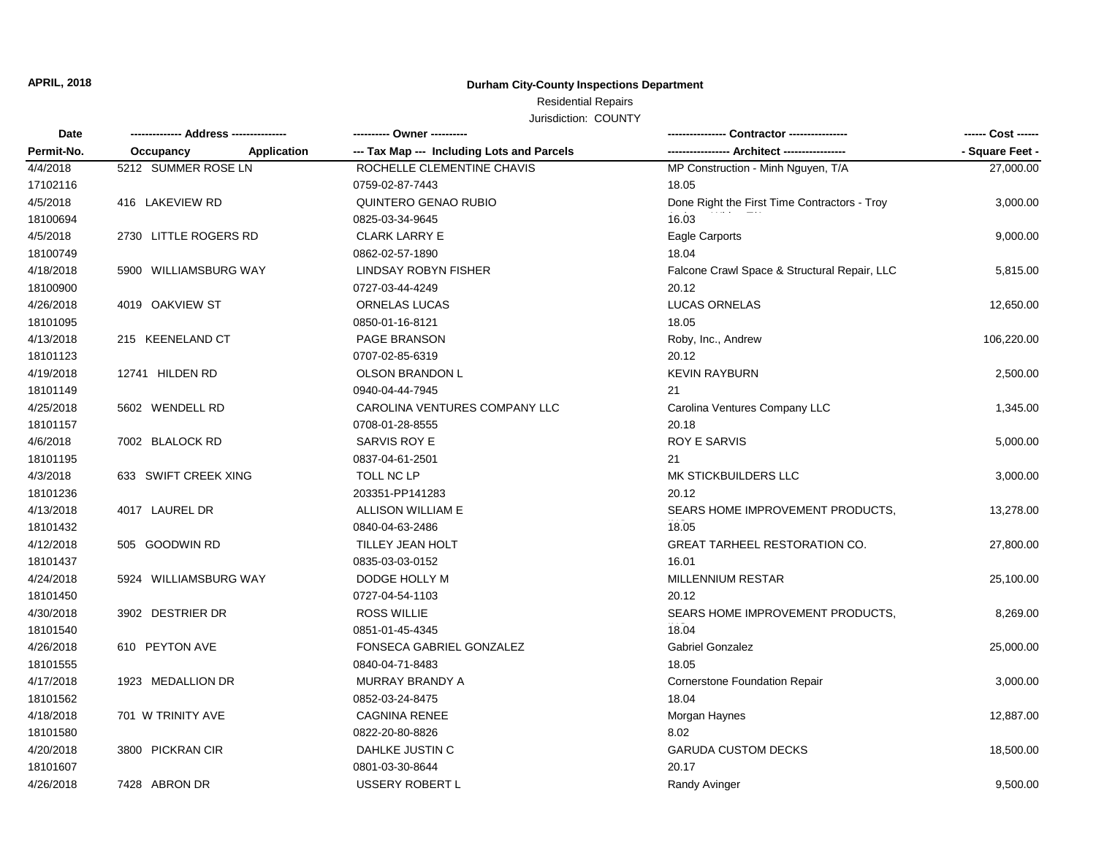**APRIL, 2018**

## **Durham City-County Inspections Department**

## Residential Repairs

Jurisdiction: COUNTY

| Date<br>Permit-No. |                       |                    | ---------- Owner ----------                |                                              | ------ Cost ------ |
|--------------------|-----------------------|--------------------|--------------------------------------------|----------------------------------------------|--------------------|
|                    | Occupancy             | <b>Application</b> | --- Tax Map --- Including Lots and Parcels |                                              | - Square Feet -    |
| 4/4/2018           | 5212 SUMMER ROSE LN   |                    | ROCHELLE CLEMENTINE CHAVIS                 | MP Construction - Minh Nguyen, T/A           | 27,000.00          |
| 17102116           |                       |                    | 0759-02-87-7443                            | 18.05                                        |                    |
| 4/5/2018           | 416 LAKEVIEW RD       |                    | QUINTERO GENAO RUBIO                       | Done Right the First Time Contractors - Troy | 3,000.00           |
| 18100694           |                       |                    | 0825-03-34-9645                            | 16.03                                        |                    |
| 4/5/2018           | 2730 LITTLE ROGERS RD |                    | <b>CLARK LARRY E</b>                       | Eagle Carports                               | 9,000.00           |
| 18100749           |                       |                    | 0862-02-57-1890                            | 18.04                                        |                    |
| 4/18/2018          | 5900 WILLIAMSBURG WAY |                    | <b>LINDSAY ROBYN FISHER</b>                | Falcone Crawl Space & Structural Repair, LLC | 5,815.00           |
| 18100900           |                       |                    | 0727-03-44-4249                            | 20.12                                        |                    |
| 4/26/2018          | 4019 OAKVIEW ST       |                    | ORNELAS LUCAS                              | <b>LUCAS ORNELAS</b>                         | 12,650.00          |
| 18101095           |                       |                    | 0850-01-16-8121                            | 18.05                                        |                    |
| 4/13/2018          | 215 KEENELAND CT      |                    | PAGE BRANSON                               | Roby, Inc., Andrew                           | 106,220.00         |
| 18101123           |                       |                    | 0707-02-85-6319                            | 20.12                                        |                    |
| 4/19/2018          | 12741 HILDEN RD       |                    | <b>OLSON BRANDON L</b>                     | <b>KEVIN RAYBURN</b>                         | 2,500.00           |
| 18101149           |                       |                    | 0940-04-44-7945                            | 21                                           |                    |
| 4/25/2018          | 5602 WENDELL RD       |                    | CAROLINA VENTURES COMPANY LLC              | Carolina Ventures Company LLC                | 1,345.00           |
| 18101157           |                       |                    | 0708-01-28-8555                            | 20.18                                        |                    |
| 4/6/2018           | 7002 BLALOCK RD       |                    | SARVIS ROY E                               | ROY E SARVIS                                 | 5,000.00           |
| 18101195           |                       |                    | 0837-04-61-2501                            | 21                                           |                    |
| 4/3/2018           | 633 SWIFT CREEK XING  |                    | TOLL NC LP                                 | MK STICKBUILDERS LLC                         | 3,000.00           |
| 18101236           |                       |                    | 203351-PP141283                            | 20.12                                        |                    |
| 4/13/2018          | 4017 LAUREL DR        |                    | ALLISON WILLIAM E                          | SEARS HOME IMPROVEMENT PRODUCTS,             | 13,278.00          |
| 18101432           |                       |                    | 0840-04-63-2486                            | 18.05                                        |                    |
| 4/12/2018          | 505 GOODWIN RD        |                    | <b>TILLEY JEAN HOLT</b>                    | <b>GREAT TARHEEL RESTORATION CO.</b>         | 27,800.00          |
| 18101437           |                       |                    | 0835-03-03-0152                            | 16.01                                        |                    |
| 4/24/2018          | 5924 WILLIAMSBURG WAY |                    | DODGE HOLLY M                              | MILLENNIUM RESTAR                            | 25,100.00          |
| 18101450           |                       |                    | 0727-04-54-1103                            | 20.12                                        |                    |
| 4/30/2018          | 3902 DESTRIER DR      |                    | <b>ROSS WILLIE</b>                         | SEARS HOME IMPROVEMENT PRODUCTS,             | 8,269.00           |
| 18101540           |                       |                    | 0851-01-45-4345                            | 18.04                                        |                    |
| 4/26/2018          | 610 PEYTON AVE        |                    | FONSECA GABRIEL GONZALEZ                   | Gabriel Gonzalez                             | 25,000.00          |
| 18101555           |                       |                    | 0840-04-71-8483                            | 18.05                                        |                    |
| 4/17/2018          | 1923 MEDALLION DR     |                    | MURRAY BRANDY A                            | <b>Cornerstone Foundation Repair</b>         | 3,000.00           |
| 18101562           |                       |                    | 0852-03-24-8475                            | 18.04                                        |                    |
| 4/18/2018          | 701 W TRINITY AVE     |                    | <b>CAGNINA RENEE</b>                       | Morgan Haynes                                | 12,887.00          |
| 18101580           |                       |                    | 0822-20-80-8826                            | 8.02                                         |                    |
| 4/20/2018          | 3800 PICKRAN CIR      |                    | DAHLKE JUSTIN C                            | <b>GARUDA CUSTOM DECKS</b>                   | 18,500.00          |
| 18101607           |                       |                    | 0801-03-30-8644                            | 20.17                                        |                    |
| 4/26/2018          | 7428 ABRON DR         |                    | USSERY ROBERT L                            | Randy Avinger                                | 9,500.00           |